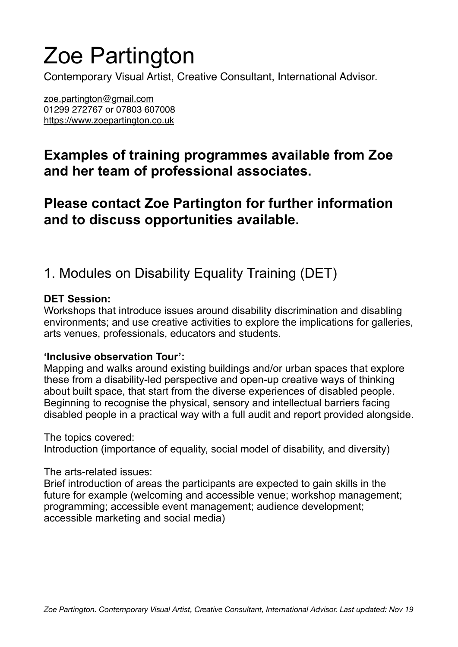# Zoe Partington

Contemporary Visual Artist, Creative Consultant, International Advisor.

[zoe.partington@gmail.com](mailto:zoe.partington@gmail.com) 01299 272767 or 07803 607008 <https://www.zoepartington.co.uk>

## **Examples of training programmes available from Zoe and her team of professional associates.**

## **Please contact Zoe Partington for further information and to discuss opportunities available.**

# 1. Modules on Disability Equality Training (DET)

#### **DET Session:**

Workshops that introduce issues around disability discrimination and disabling environments; and use creative activities to explore the implications for galleries, arts venues, professionals, educators and students.

#### **'Inclusive observation Tour':**

Mapping and walks around existing buildings and/or urban spaces that explore these from a disability-led perspective and open-up creative ways of thinking about built space, that start from the diverse experiences of disabled people. Beginning to recognise the physical, sensory and intellectual barriers facing disabled people in a practical way with a full audit and report provided alongside.

The topics covered:

Introduction (importance of equality, social model of disability, and diversity)

The arts-related issues:

Brief introduction of areas the participants are expected to gain skills in the future for example (welcoming and accessible venue; workshop management; programming; accessible event management; audience development; accessible marketing and social media)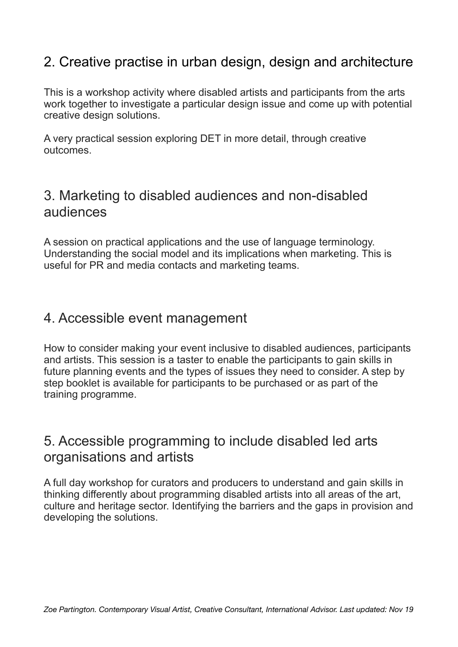#### 2. Creative practise in urban design, design and architecture

This is a workshop activity where disabled artists and participants from the arts work together to investigate a particular design issue and come up with potential creative design solutions.

A very practical session exploring DET in more detail, through creative outcomes.

#### 3. Marketing to disabled audiences and non-disabled audiences

A session on practical applications and the use of language terminology. Understanding the social model and its implications when marketing. This is useful for PR and media contacts and marketing teams.

#### 4. Accessible event management

How to consider making your event inclusive to disabled audiences, participants and artists. This session is a taster to enable the participants to gain skills in future planning events and the types of issues they need to consider. A step by step booklet is available for participants to be purchased or as part of the training programme.

#### 5. Accessible programming to include disabled led arts organisations and artists

A full day workshop for curators and producers to understand and gain skills in thinking differently about programming disabled artists into all areas of the art, culture and heritage sector. Identifying the barriers and the gaps in provision and developing the solutions.